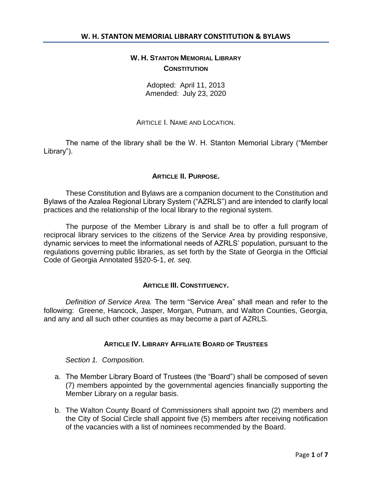# **W. H. STANTON MEMORIAL LIBRARY CONSTITUTION**

Adopted: April 11, 2013 Amended: July 23, 2020

## ARTICLE L. NAME AND LOCATION.

The name of the library shall be the W. H. Stanton Memorial Library ("Member Library").

# **ARTICLE II. PURPOSE.**

These Constitution and Bylaws are a companion document to the Constitution and Bylaws of the Azalea Regional Library System ("AZRLS") and are intended to clarify local practices and the relationship of the local library to the regional system.

The purpose of the Member Library is and shall be to offer a full program of reciprocal library services to the citizens of the Service Area by providing responsive, dynamic services to meet the informational needs of AZRLS' population, pursuant to the regulations governing public libraries, as set forth by the State of Georgia in the Official Code of Georgia Annotated §§20-5-1, *et. seq*.

## **ARTICLE III. CONSTITUENCY.**

*Definition of Service Area.* The term "Service Area" shall mean and refer to the following: Greene, Hancock, Jasper, Morgan, Putnam, and Walton Counties, Georgia, and any and all such other counties as may become a part of AZRLS.

## **ARTICLE IV. LIBRARY AFFILIATE BOARD OF TRUSTEES**

*Section 1. Composition.* 

- a. The Member Library Board of Trustees (the "Board") shall be composed of seven (7) members appointed by the governmental agencies financially supporting the Member Library on a regular basis.
- b. The Walton County Board of Commissioners shall appoint two (2) members and the City of Social Circle shall appoint five (5) members after receiving notification of the vacancies with a list of nominees recommended by the Board.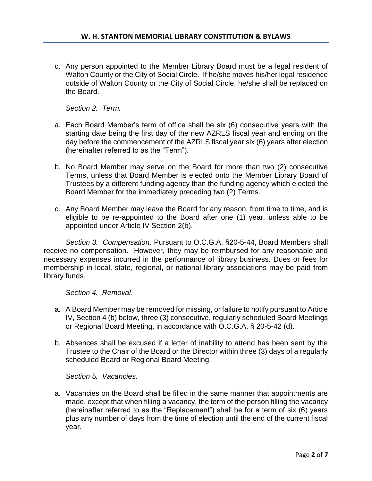c. Any person appointed to the Member Library Board must be a legal resident of Walton County or the City of Social Circle. If he/she moves his/her legal residence outside of Walton County or the City of Social Circle, he/she shall be replaced on the Board.

*Section 2. Term.*

- a. Each Board Member's term of office shall be six (6) consecutive years with the starting date being the first day of the new AZRLS fiscal year and ending on the day before the commencement of the AZRLS fiscal year six (6) years after election (hereinafter referred to as the "Term").
- b. No Board Member may serve on the Board for more than two (2) consecutive Terms, unless that Board Member is elected onto the Member Library Board of Trustees by a different funding agency than the funding agency which elected the Board Member for the immediately preceding two (2) Terms.
- c. Any Board Member may leave the Board for any reason, from time to time, and is eligible to be re-appointed to the Board after one (1) year, unless able to be appointed under Article IV Section 2(b).

*Section 3. Compensation.* Pursuant to O.C.G.A. §20-5-44, Board Members shall receive no compensation. However, they may be reimbursed for any reasonable and necessary expenses incurred in the performance of library business. Dues or fees for membership in local, state, regional, or national library associations may be paid from library funds.

*Section 4. Removal*.

- a. A Board Member may be removed for missing, or failure to notify pursuant to Article IV, Section 4 (b) below, three (3) consecutive, regularly scheduled Board Meetings or Regional Board Meeting, in accordance with O.C.G.A. § 20-5-42 (d).
- b. Absences shall be excused if a letter of inability to attend has been sent by the Trustee to the Chair of the Board or the Director within three (3) days of a regularly scheduled Board or Regional Board Meeting.

*Section 5. Vacancies.*

a. Vacancies on the Board shall be filled in the same manner that appointments are made, except that when filling a vacancy, the term of the person filling the vacancy (hereinafter referred to as the "Replacement") shall be for a term of six (6) years plus any number of days from the time of election until the end of the current fiscal year.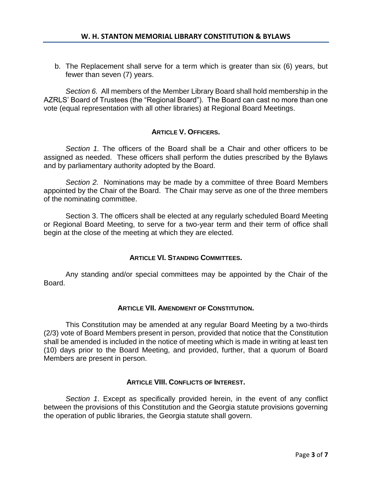b. The Replacement shall serve for a term which is greater than six (6) years, but fewer than seven (7) years.

*Section 6.* All members of the Member Library Board shall hold membership in the AZRLS' Board of Trustees (the "Regional Board"). The Board can cast no more than one vote (equal representation with all other libraries) at Regional Board Meetings.

# **ARTICLE V. OFFICERS.**

*Section 1.* The officers of the Board shall be a Chair and other officers to be assigned as needed. These officers shall perform the duties prescribed by the Bylaws and by parliamentary authority adopted by the Board.

*Section 2.* Nominations may be made by a committee of three Board Members appointed by the Chair of the Board. The Chair may serve as one of the three members of the nominating committee.

Section 3. The officers shall be elected at any regularly scheduled Board Meeting or Regional Board Meeting, to serve for a two-year term and their term of office shall begin at the close of the meeting at which they are elected.

## **ARTICLE VI. STANDING COMMITTEES.**

Any standing and/or special committees may be appointed by the Chair of the Board.

## **ARTICLE VII. AMENDMENT OF CONSTITUTION.**

This Constitution may be amended at any regular Board Meeting by a two-thirds (2/3) vote of Board Members present in person, provided that notice that the Constitution shall be amended is included in the notice of meeting which is made in writing at least ten (10) days prior to the Board Meeting, and provided, further, that a quorum of Board Members are present in person.

## **ARTICLE VIII. CONFLICTS OF INTEREST.**

*Section 1*. Except as specifically provided herein, in the event of any conflict between the provisions of this Constitution and the Georgia statute provisions governing the operation of public libraries, the Georgia statute shall govern.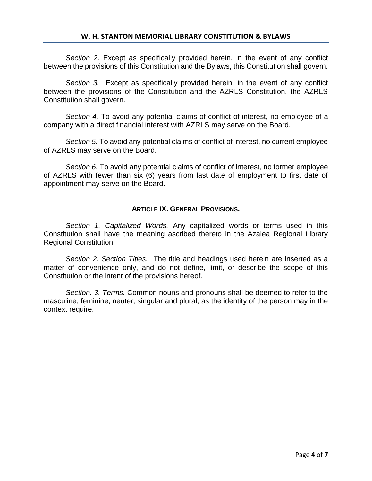*Section 2*. Except as specifically provided herein, in the event of any conflict between the provisions of this Constitution and the Bylaws, this Constitution shall govern.

*Section 3.* Except as specifically provided herein, in the event of any conflict between the provisions of the Constitution and the AZRLS Constitution, the AZRLS Constitution shall govern.

*Section 4.* To avoid any potential claims of conflict of interest, no employee of a company with a direct financial interest with AZRLS may serve on the Board.

*Section 5.* To avoid any potential claims of conflict of interest, no current employee of AZRLS may serve on the Board.

*Section 6.* To avoid any potential claims of conflict of interest, no former employee of AZRLS with fewer than six (6) years from last date of employment to first date of appointment may serve on the Board.

## **ARTICLE IX. GENERAL PROVISIONS.**

*Section 1. Capitalized Words.* Any capitalized words or terms used in this Constitution shall have the meaning ascribed thereto in the Azalea Regional Library Regional Constitution.

*Section 2. Section Titles.* The title and headings used herein are inserted as a matter of convenience only, and do not define, limit, or describe the scope of this Constitution or the intent of the provisions hereof.

*Section. 3. Terms.* Common nouns and pronouns shall be deemed to refer to the masculine, feminine, neuter, singular and plural, as the identity of the person may in the context require.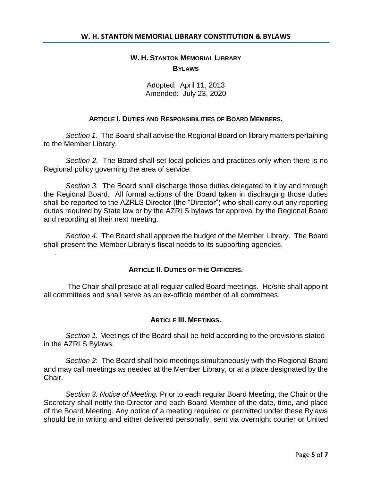# **W. H. STANTON MEMORIAL LIBRARY BYLAWS**

Adopted: April 11, 2013 Amended: July 23, 2020

### **ARTICLE I. DUTIES AND RESPONSIBILITIES OF BOARD MEMBERS.**

*Section 1.* The Board shall advise the Regional Board on library matters pertaining to the Member Library.

*Section 2.* The Board shall set local policies and practices only when there is no Regional policy governing the area of service.

*Section 3.* The Board shall discharge those duties delegated to it by and through the Regional Board. All formal actions of the Board taken in discharging those duties shall be reported to the AZRLS Director (the "Director") who shall carry out any reporting duties required by State law or by the AZRLS bylaws for approval by the Regional Board and recording at their next meeting.

*Section 4.* The Board shall approve the budget of the Member Library. The Board shall present the Member Library's fiscal needs to its supporting agencies.

.

#### **ARTICLE II. DUTIES OF THE OFFICERS.**

The Chair shall preside at all regular called Board meetings. He/she shall appoint all committees and shall serve as an ex-officio member of all committees.

#### **ARTICLE III. MEETINGS.**

*Section 1.* Meetings of the Board shall be held according to the provisions stated in the AZRLS Bylaws.

*Section 2*: The Board shall hold meetings simultaneously with the Regional Board and may call meetings as needed at the Member Library, or at a place designated by the Chair.

*Section 3. Notice of Meeting.* Prior to each regular Board Meeting, the Chair or the Secretary shall notify the Director and each Board Member of the date, time, and place of the Board Meeting. Any notice of a meeting required or permitted under these Bylaws should be in writing and either delivered personally, sent via overnight courier or United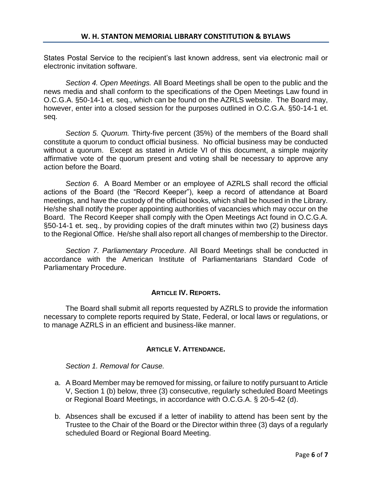States Postal Service to the recipient's last known address, sent via electronic mail or electronic invitation software.

*Section 4. Open Meetings.* All Board Meetings shall be open to the public and the news media and shall conform to the specifications of the Open Meetings Law found in O.C.G.A. §50-14-1 et. seq., which can be found on the AZRLS website. The Board may, however, enter into a closed session for the purposes outlined in O.C.G.A. §50-14-1 et. seq.

*Section 5. Quorum.* Thirty-five percent (35%) of the members of the Board shall constitute a quorum to conduct official business. No official business may be conducted without a quorum. Except as stated in Article VI of this document, a simple majority affirmative vote of the quorum present and voting shall be necessary to approve any action before the Board.

*Section 6*. A Board Member or an employee of AZRLS shall record the official actions of the Board (the "Record Keeper"), keep a record of attendance at Board meetings, and have the custody of the official books, which shall be housed in the Library. He/she shall notify the proper appointing authorities of vacancies which may occur on the Board. The Record Keeper shall comply with the Open Meetings Act found in O.C.G.A. §50-14-1 et. seq., by providing copies of the draft minutes within two (2) business days to the Regional Office. He/she shall also report all changes of membership to the Director.

*Section 7. Parliamentary Procedure*. All Board Meetings shall be conducted in accordance with the American Institute of Parliamentarians Standard Code of Parliamentary Procedure.

## **ARTICLE IV. REPORTS.**

The Board shall submit all reports requested by AZRLS to provide the information necessary to complete reports required by State, Federal, or local laws or regulations, or to manage AZRLS in an efficient and business-like manner.

# **ARTICLE V. ATTENDANCE.**

*Section 1. Removal for Cause.*

- a. A Board Member may be removed for missing, or failure to notify pursuant to Article V, Section 1 (b) below, three (3) consecutive, regularly scheduled Board Meetings or Regional Board Meetings, in accordance with O.C.G.A. § 20-5-42 (d).
- b. Absences shall be excused if a letter of inability to attend has been sent by the Trustee to the Chair of the Board or the Director within three (3) days of a regularly scheduled Board or Regional Board Meeting.